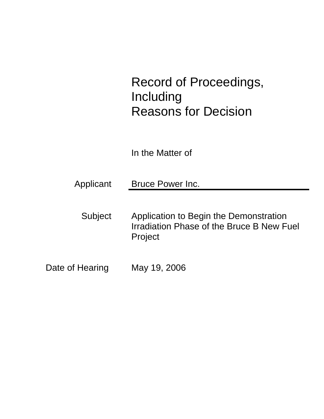# Record of Proceedings, Including Reasons for Decision

In the Matter of

Applicant Bruce Power Inc.

- Subject Application to Begin the Demonstration Irradiation Phase of the Bruce B New Fuel Project
- Date of Hearing May 19, 2006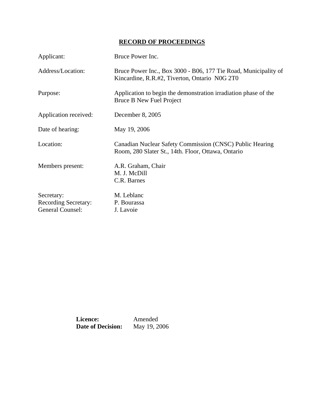## **RECORD OF PROCEEDINGS**

| Applicant:                                                    | Bruce Power Inc.                                                                                                 |
|---------------------------------------------------------------|------------------------------------------------------------------------------------------------------------------|
| Address/Location:                                             | Bruce Power Inc., Box 3000 - B06, 177 Tie Road, Municipality of<br>Kincardine, R.R.#2, Tiverton, Ontario N0G 2T0 |
| Purpose:                                                      | Application to begin the demonstration irradiation phase of the<br>Bruce B New Fuel Project                      |
| Application received:                                         | December 8, 2005                                                                                                 |
| Date of hearing:                                              | May 19, 2006                                                                                                     |
| Location:                                                     | Canadian Nuclear Safety Commission (CNSC) Public Hearing<br>Room, 280 Slater St., 14th. Floor, Ottawa, Ontario   |
| Members present:                                              | A.R. Graham, Chair<br>M. J. McDill<br>C.R. Barnes                                                                |
| Secretary:<br><b>Recording Secretary:</b><br>General Counsel: | M. Leblanc<br>P. Bourassa<br>J. Lavoie                                                                           |

**Licence:** Amended<br>**Date of Decision:** May 19, 2006 **Date of Decision:**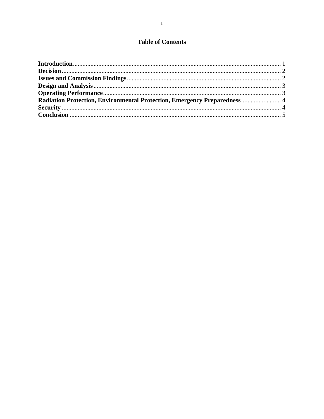## **Table of Contents**

| Radiation Protection, Environmental Protection, Emergency Preparedness 4 |  |
|--------------------------------------------------------------------------|--|
|                                                                          |  |
|                                                                          |  |
|                                                                          |  |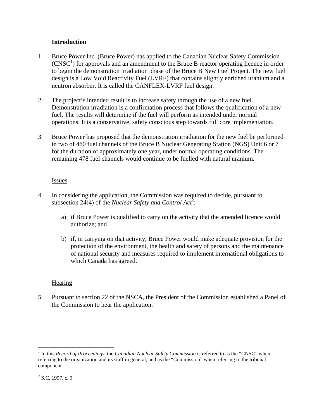#### **Introduction**

- 1. Bruce Power Inc. (Bruce Power) has applied to the Canadian Nuclear Safety Commission  $(CNSC<sup>1</sup>)$  for approvals and an amendment to the Bruce B reactor operating licence in order to begin the demonstration irradiation phase of the Bruce B New Fuel Project. The new fuel design is a Low Void Reactivity Fuel (LVRF) that contains slightly enriched uranium and a neutron absorber. It is called the CANFLEX-LVRF fuel design.
- 2. The project's intended result is to increase safety through the use of a new fuel. Demonstration irradiation is a confirmation process that follows the qualification of a new fuel. The results will determine if the fuel will perform as intended under normal operations. It is a conservative, safety conscious step towards full core implementation.
- 3. Bruce Power has proposed that the demonstration irradiation for the new fuel be performed in two of 480 fuel channels of the Bruce B Nuclear Generating Station (NGS) Unit 6 or 7 for the duration of approximately one year, under normal operating conditions. The remaining 478 fuel channels would continue to be fuelled with natural uranium.

#### Issues

- 4. In considering the application, the Commission was required to decide, pursuant to subsection 24(4) of the *Nuclear Safety and Control Act*<sup>2</sup>:
	- a) if Bruce Power is qualified to carry on the activity that the amended licence would authorize; and
	- b) if, in carrying on that activity, Bruce Power would make adequate provision for the protection of the environment, the health and safety of persons and the maintenance of national security and measures required to implement international obligations to which Canada has agreed.

#### **Hearing**

5. Pursuant to section 22 of the NSCA, the President of the Commission established a Panel of the Commission to hear the application.

 $\overline{a}$ 

<sup>&</sup>lt;sup>1</sup> In this *Record of Proceedings*, the *Canadian Nuclear Safety Commission* is referred to as the "CNSC" when referring to the organization and its staff in general, and as the "Commission" when referring to the tribunal component.

 $2^2$  S.C. 1997, c. 9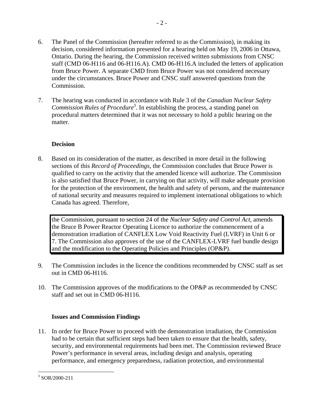- 6. The Panel of the Commission (hereafter referred to as the Commission), in making its decision, considered information presented for a hearing held on May 19, 2006 in Ottawa, Ontario. During the hearing, the Commission received written submissions from CNSC staff (CMD 06-H116 and 06-H116.A). CMD 06-H116.A included the letters of application from Bruce Power. A separate CMD from Bruce Power was not considered necessary under the circumstances. Bruce Power and CNSC staff answered questions from the Commission.
- 7. The hearing was conducted in accordance with Rule 3 of the *Canadian Nuclear Safety*  Commission Rules of Procedure<sup>3</sup>. In establishing the process, a standing panel on procedural matters determined that it was not necessary to hold a public hearing on the matter.

## **Decision**

8. Based on its consideration of the matter, as described in more detail in the following sections of this *Record of Proceedings*, the Commission concludes that Bruce Power is qualified to carry on the activity that the amended licence will authorize. The Commission is also satisfied that Bruce Power, in carrying on that activity, will make adequate provision for the protection of the environment, the health and safety of persons, and the maintenance of national security and measures required to implement international obligations to which Canada has agreed. Therefore,

the Commission, pursuant to section 24 of the *Nuclear Safety and Control Act*, amends the Bruce B Power Reactor Operating Licence to authorize the commencement of a demonstration irradiation of CANFLEX Low Void Reactivity Fuel (LVRF) in Unit 6 or 7. The Commission also approves of the use of the CANFLEX-LVRF fuel bundle design and the modification to the Operating Policies and Principles (OP&P).

- 9. The Commission includes in the licence the conditions recommended by CNSC staff as set out in CMD 06-H116.
- 10. The Commission approves of the modifications to the OP&P as recommended by CNSC staff and set out in CMD 06-H116.

#### **Issues and Commission Findings**

11. In order for Bruce Power to proceed with the demonstration irradiation, the Commission had to be certain that sufficient steps had been taken to ensure that the health, safety, security, and environmental requirements had been met. The Commission reviewed Bruce Power's performance in several areas, including design and analysis, operating performance, and emergency preparedness, radiation protection, and environmental

 3 SOR/2000-211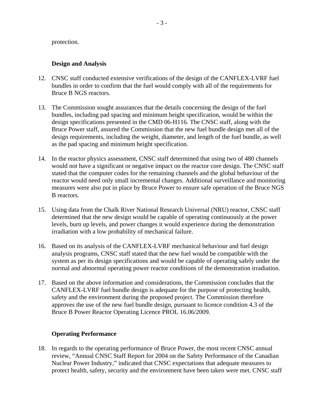protection.

#### **Design and Analysis**

- 12. CNSC staff conducted extensive verifications of the design of the CANFLEX-LVRF fuel bundles in order to confirm that the fuel would comply with all of the requirements for Bruce B NGS reactors.
- 13. The Commission sought assurances that the details concerning the design of the fuel bundles, including pad spacing and minimum height specification, would be within the design specifications presented in the CMD 06-H116. The CNSC staff, along with the Bruce Power staff, assured the Commission that the new fuel bundle design met all of the design requirements, including the weight, diameter, and length of the fuel bundle, as well as the pad spacing and minimum height specification.
- 14. In the reactor physics assessment, CNSC staff determined that using two of 480 channels would not have a significant or negative impact on the reactor core design. The CNSC staff stated that the computer codes for the remaining channels and the global behaviour of the reactor would need only small incremental changes. Additional surveillance and monitoring measures were also put in place by Bruce Power to ensure safe operation of the Bruce NGS B reactors.
- 15. Using data from the Chalk River National Research Universal (NRU) reactor, CNSC staff determined that the new design would be capable of operating continuously at the power levels, burn up levels, and power changes it would experience during the demonstration irradiation with a low probability of mechanical failure.
- 16. Based on its analysis of the CANFLEX-LVRF mechanical behaviour and fuel design analysis programs, CNSC staff stated that the new fuel would be compatible with the system as per its design specifications and would be capable of operating safely under the normal and abnormal operating power reactor conditions of the demonstration irradiation.
- 17. Based on the above information and considerations, the Commission concludes that the CANFLEX-LVRF fuel bundle design is adequate for the purpose of protecting health, safety and the environment during the proposed project. The Commission therefore approves the use of the new fuel bundle design, pursuant to licence condition 4.3 of the Bruce B Power Reactor Operating Licence PROL 16.06/2009.

#### **Operating Performance**

18. In regards to the operating performance of Bruce Power, the most recent CNSC annual review, "Annual CNSC Staff Report for 2004 on the Safety Performance of the Canadian Nuclear Power Industry," indicated that CNSC expectations that adequate measures to protect health, safety, security and the environment have been taken were met. CNSC staff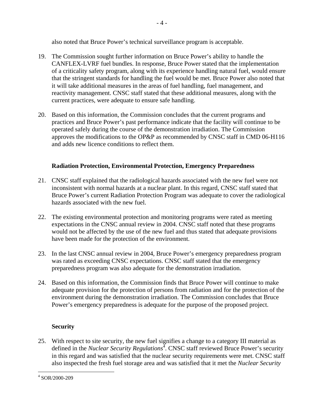also noted that Bruce Power's technical surveillance program is acceptable.

- 19. The Commission sought further information on Bruce Power's ability to handle the CANFLEX-LVRF fuel bundles. In response, Bruce Power stated that the implementation of a criticality safety program, along with its experience handling natural fuel, would ensure that the stringent standards for handling the fuel would be met. Bruce Power also noted that it will take additional measures in the areas of fuel handling, fuel management, and reactivity management. CNSC staff stated that these additional measures, along with the current practices, were adequate to ensure safe handling.
- 20. Based on this information, the Commission concludes that the current programs and practices and Bruce Power's past performance indicate that the facility will continue to be operated safely during the course of the demonstration irradiation. The Commission approves the modifications to the OP&P as recommended by CNSC staff in CMD 06-H116 and adds new licence conditions to reflect them.

## **Radiation Protection, Environmental Protection, Emergency Preparedness**

- 21. CNSC staff explained that the radiological hazards associated with the new fuel were not inconsistent with normal hazards at a nuclear plant. In this regard, CNSC staff stated that Bruce Power's current Radiation Protection Program was adequate to cover the radiological hazards associated with the new fuel.
- 22. The existing environmental protection and monitoring programs were rated as meeting expectations in the CNSC annual review in 2004. CNSC staff noted that these programs would not be affected by the use of the new fuel and thus stated that adequate provisions have been made for the protection of the environment.
- 23. In the last CNSC annual review in 2004, Bruce Power's emergency preparedness program was rated as exceeding CNSC expectations. CNSC staff stated that the emergency preparedness program was also adequate for the demonstration irradiation.
- 24. Based on this information, the Commission finds that Bruce Power will continue to make adequate provision for the protection of persons from radiation and for the protection of the environment during the demonstration irradiation. The Commission concludes that Bruce Power's emergency preparedness is adequate for the purpose of the proposed project.

## **Security**

25. With respect to site security, the new fuel signifies a change to a category III material as defined in the *Nuclear Security Regulations*<sup>4</sup>. CNSC staff reviewed Bruce Power's security in this regard and was satisfied that the nuclear security requirements were met. CNSC staff also inspected the fresh fuel storage area and was satisfied that it met the *Nuclear Security* 

 $\overline{a}$ 4 SOR/2000-209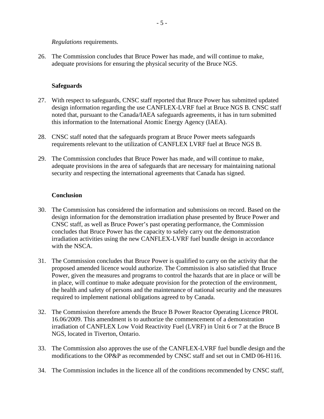#### *Regulations* requirements.

26. The Commission concludes that Bruce Power has made, and will continue to make, adequate provisions for ensuring the physical security of the Bruce NGS.

#### **Safeguards**

- 27. With respect to safeguards, CNSC staff reported that Bruce Power has submitted updated design information regarding the use CANFLEX-LVRF fuel at Bruce NGS B. CNSC staff noted that, pursuant to the Canada/IAEA safeguards agreements, it has in turn submitted this information to the International Atomic Energy Agency (IAEA).
- 28. CNSC staff noted that the safeguards program at Bruce Power meets safeguards requirements relevant to the utilization of CANFLEX LVRF fuel at Bruce NGS B.
- 29. The Commission concludes that Bruce Power has made, and will continue to make, adequate provisions in the area of safeguards that are necessary for maintaining national security and respecting the international agreements that Canada has signed.

#### **Conclusion**

- 30. The Commission has considered the information and submissions on record. Based on the design information for the demonstration irradiation phase presented by Bruce Power and CNSC staff, as well as Bruce Power's past operating performance, the Commission concludes that Bruce Power has the capacity to safely carry out the demonstration irradiation activities using the new CANFLEX-LVRF fuel bundle design in accordance with the NSCA.
- 31. The Commission concludes that Bruce Power is qualified to carry on the activity that the proposed amended licence would authorize. The Commission is also satisfied that Bruce Power, given the measures and programs to control the hazards that are in place or will be in place, will continue to make adequate provision for the protection of the environment, the health and safety of persons and the maintenance of national security and the measures required to implement national obligations agreed to by Canada.
- 32. The Commission therefore amends the Bruce B Power Reactor Operating Licence PROL 16.06/2009. This amendment is to authorize the commencement of a demonstration irradiation of CANFLEX Low Void Reactivity Fuel (LVRF) in Unit 6 or 7 at the Bruce B NGS, located in Tiverton, Ontario.
- 33. The Commission also approves the use of the CANFLEX-LVRF fuel bundle design and the modifications to the OP&P as recommended by CNSC staff and set out in CMD 06-H116.
- 34. The Commission includes in the licence all of the conditions recommended by CNSC staff,